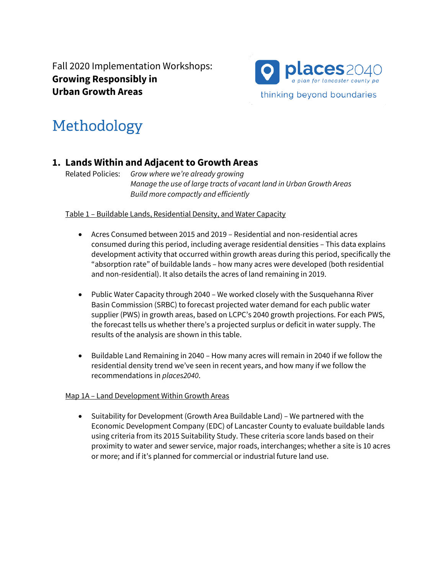Fall 2020 Implementation Workshops: **Growing Responsibly in Urban Growth Areas**



# Methodology

## **1. Lands Within and Adjacent to Growth Areas**

Related Policies: *Grow where we're already growing Manage the use of large tracts of vacant land in Urban Growth Areas Build more compactly and efficiently*

Table 1 – Buildable Lands, Residential Density, and Water Capacity

- Acres Consumed between 2015 and 2019 Residential and non-residential acres consumed during this period, including average residential densities – This data explains development activity that occurred within growth areas during this period, specifically the "absorption rate" of buildable lands – how many acres were developed (both residential and non-residential). It also details the acres of land remaining in 2019.
- Public Water Capacity through 2040 We worked closely with the Susquehanna River Basin Commission (SRBC) to forecast projected water demand for each public water supplier (PWS) in growth areas, based on LCPC's 2040 growth projections. For each PWS, the forecast tells us whether there's a projected surplus or deficit in water supply. The results of the analysis are shown in this table.
- Buildable Land Remaining in 2040 How many acres will remain in 2040 if we follow the residential density trend we've seen in recent years, and how many if we follow the recommendations in *places2040*.

#### Map 1A – Land Development Within Growth Areas

• Suitability for Development (Growth Area Buildable Land) – We partnered with the Economic Development Company (EDC) of Lancaster County to evaluate buildable lands using criteria from its 2015 Suitability Study. These criteria score lands based on their proximity to water and sewer service, major roads, interchanges; whether a site is 10 acres or more; and if it's planned for commercial or industrial future land use.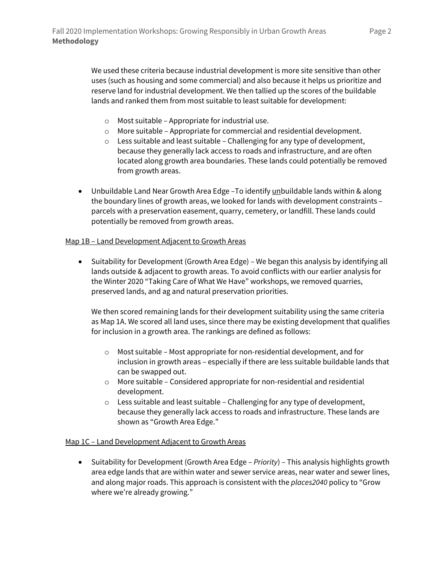We used these criteria because industrial development is more site sensitive than other uses (such as housing and some commercial) and also because it helps us prioritize and reserve land for industrial development. We then tallied up the scores of the buildable lands and ranked them from most suitable to least suitable for development:

- o Most suitable Appropriate for industrial use.
- o More suitable Appropriate for commercial and residential development.
- $\circ$  Less suitable and least suitable Challenging for any type of development, because they generally lack access to roads and infrastructure, and are often located along growth area boundaries. These lands could potentially be removed from growth areas.
- Unbuildable Land Near Growth Area Edge To identify unbuildable lands within & along the boundary lines of growth areas, we looked for lands with development constraints – parcels with a preservation easement, quarry, cemetery, or landfill. These lands could potentially be removed from growth areas.

#### Map 1B – Land Development Adjacent to Growth Areas

• Suitability for Development (Growth Area Edge) – We began this analysis by identifying all lands outside & adjacent to growth areas. To avoid conflicts with our earlier analysis for the Winter 2020 "Taking Care of What We Have" workshops, we removed quarries, preserved lands, and ag and natural preservation priorities.

We then scored remaining lands for their development suitability using the same criteria as Map 1A. We scored all land uses, since there may be existing development that qualifies for inclusion in a growth area. The rankings are defined as follows:

- $\circ$  Most suitable Most appropriate for non-residential development, and for inclusion in growth areas – especially if there are less suitable buildable lands that can be swapped out.
- o More suitable Considered appropriate for non-residential and residential development.
- o Less suitable and least suitable Challenging for any type of development, because they generally lack access to roads and infrastructure. These lands are shown as "Growth Area Edge."

#### Map 1C - Land Development Adjacent to Growth Areas

• Suitability for Development (Growth Area Edge – *Priority*) – This analysis highlights growth area edge lands that are within water and sewer service areas, near water and sewer lines, and along major roads. This approach is consistent with the *places2040* policy to "Grow where we're already growing."